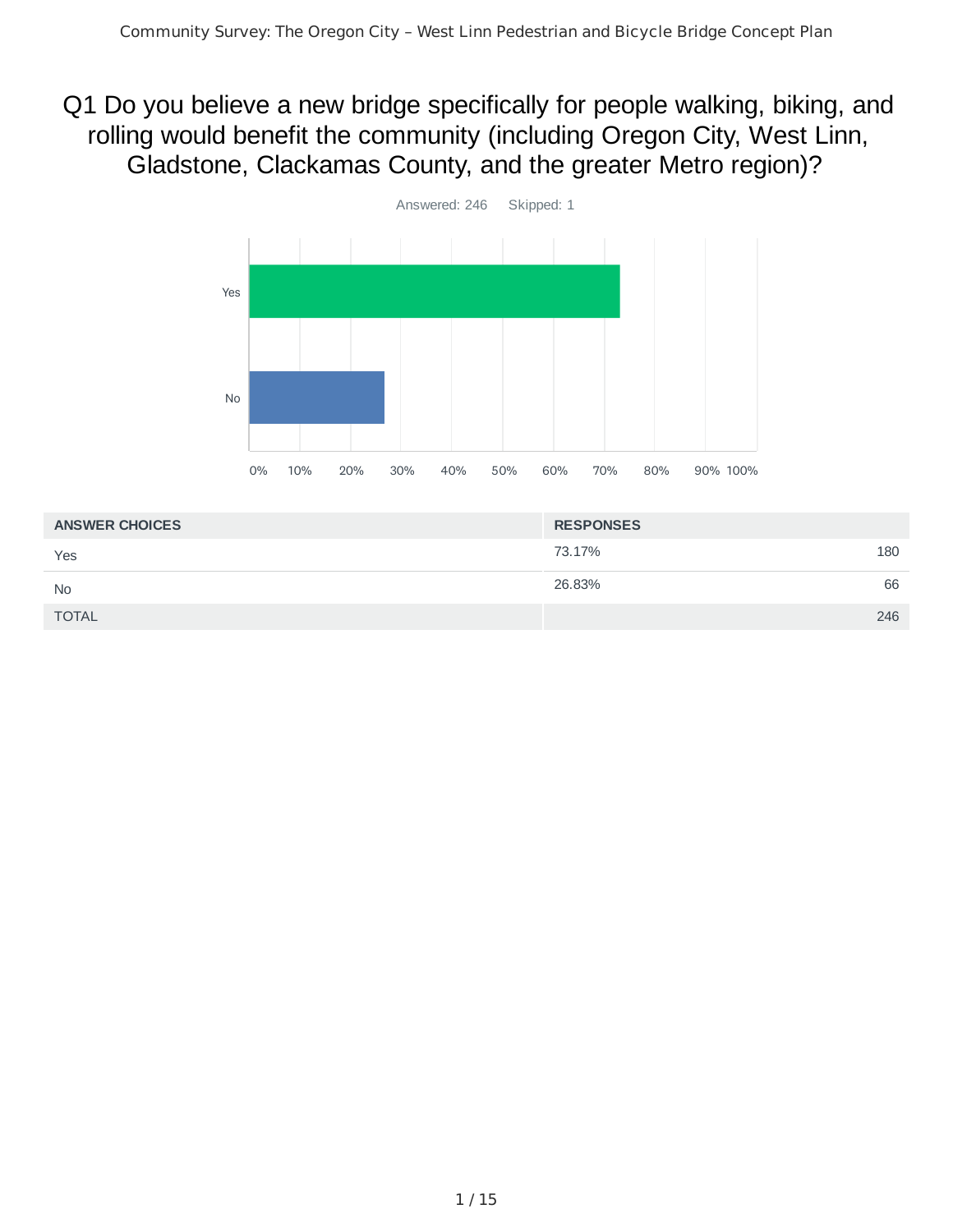## Q1 Do you believe a new bridge specifically for people walking, biking, and rolling would benefit the community (including Oregon City, West Linn, Gladstone, Clackamas County, and the greater Metro region)?



| <b>ANSWER CHOICES</b> | <b>RESPONSES</b> |     |
|-----------------------|------------------|-----|
| Yes                   | 73.17%           | 180 |
| <b>No</b>             | 26.83%           | 66  |
| <b>TOTAL</b>          |                  | 246 |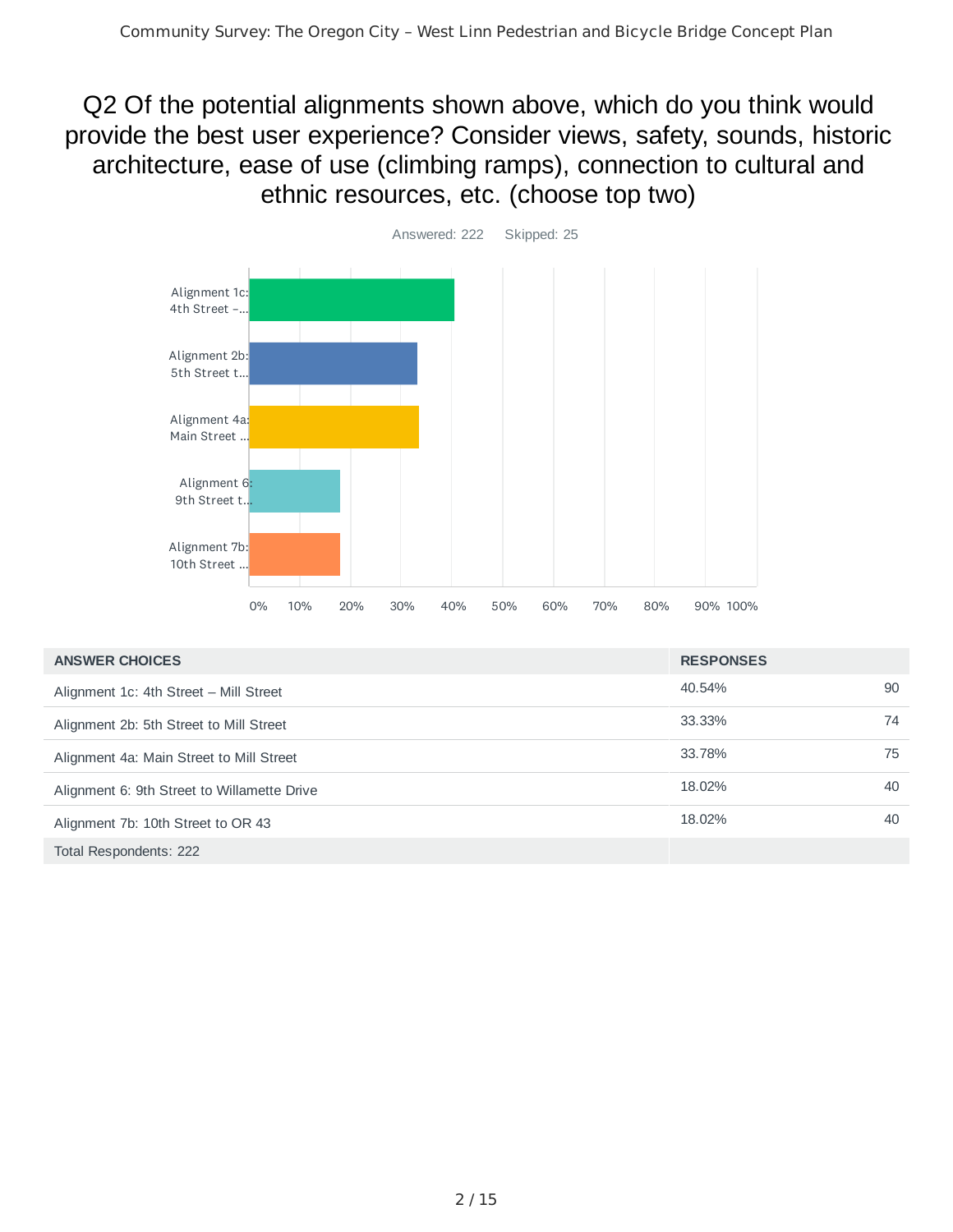Q2 Of the potential alignments shown above, which do you think would provide the best user experience? Consider views, safety, sounds, historic architecture, ease of use (climbing ramps), connection to cultural and ethnic resources, etc. (choose top two)



| <b>ANSWER CHOICES</b>                       | <b>RESPONSES</b> |    |
|---------------------------------------------|------------------|----|
| Alignment 1c: 4th Street - Mill Street      | 40.54%           | 90 |
| Alignment 2b: 5th Street to Mill Street     | 33.33%           | 74 |
| Alignment 4a: Main Street to Mill Street    | 33.78%           | 75 |
| Alignment 6: 9th Street to Willamette Drive | 18.02%           | 40 |
| Alignment 7b: 10th Street to OR 43          | 18.02%           | 40 |
| Total Respondents: 222                      |                  |    |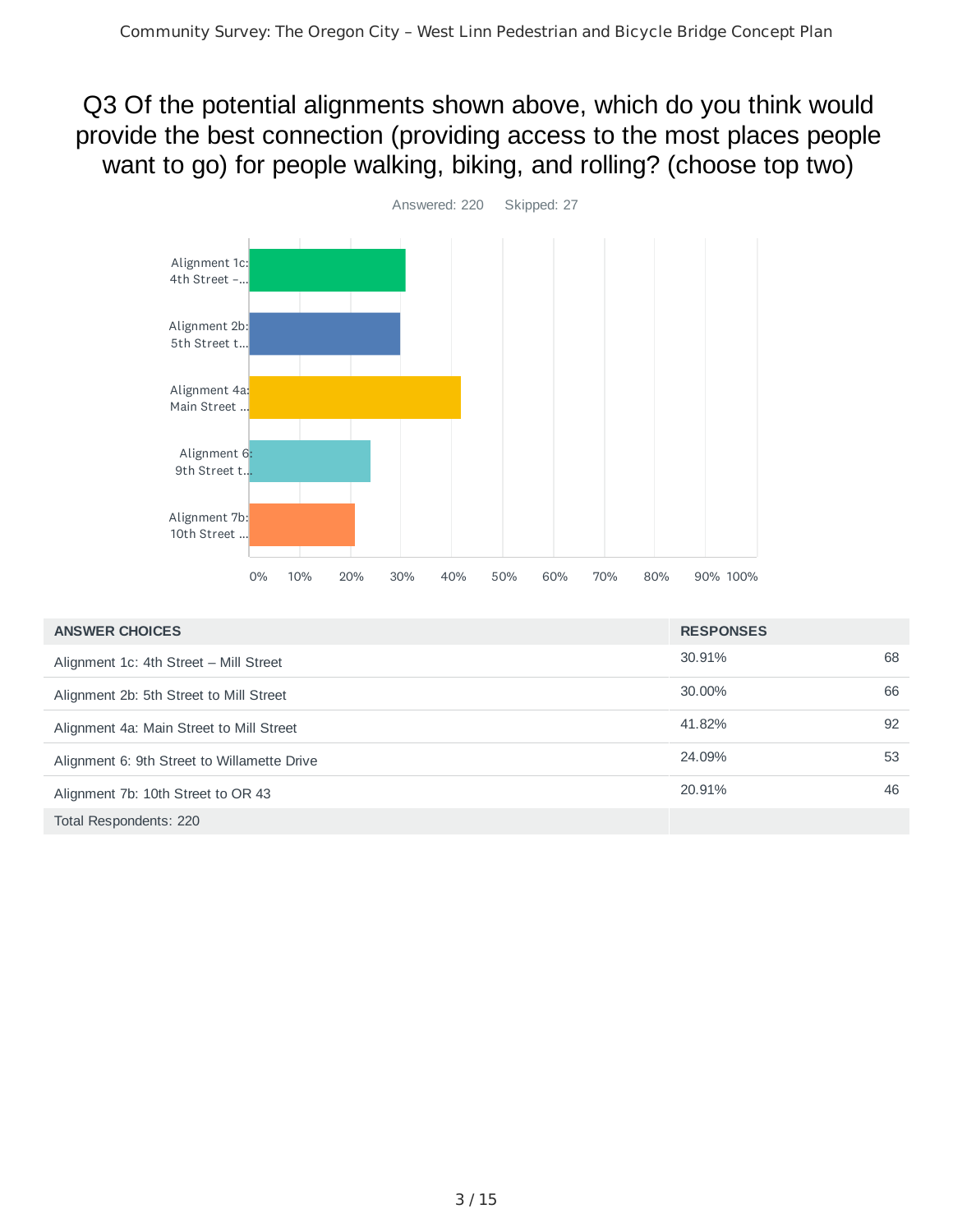Q3 Of the potential alignments shown above, which do you think would provide the best connection (providing access to the most places people want to go) for people walking, biking, and rolling? (choose top two)



| <b>ANSWER CHOICES</b>                       | <b>RESPONSES</b> |    |
|---------------------------------------------|------------------|----|
| Alignment 1c: 4th Street - Mill Street      | 30.91%           | 68 |
| Alignment 2b: 5th Street to Mill Street     | 30.00%           | 66 |
| Alignment 4a: Main Street to Mill Street    | 41.82%           | 92 |
| Alignment 6: 9th Street to Willamette Drive | 24.09%           | 53 |
| Alignment 7b: 10th Street to OR 43          | 20.91%           | 46 |
| Total Respondents: 220                      |                  |    |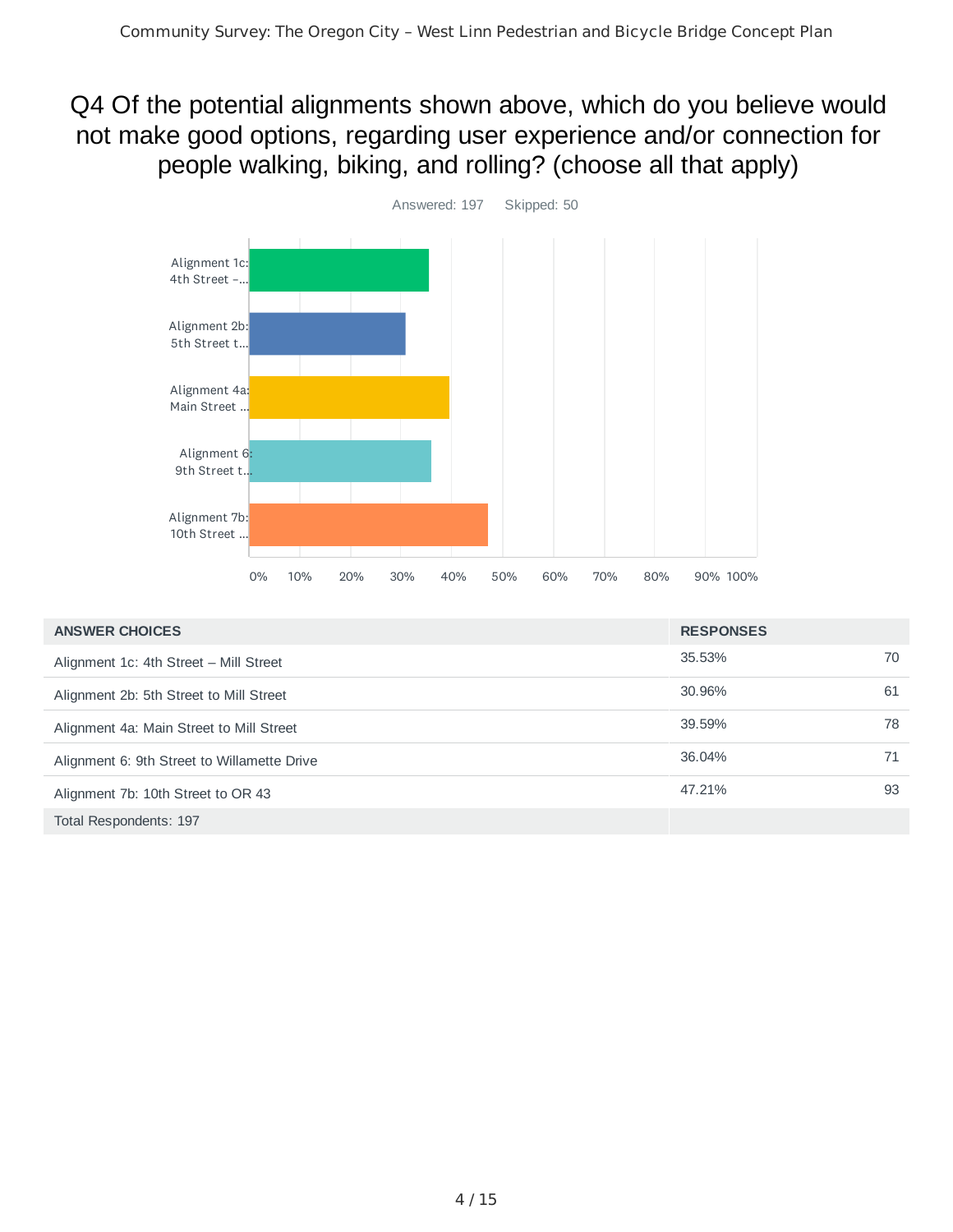Q4 Of the potential alignments shown above, which do you believe would not make good options, regarding user experience and/or connection for people walking, biking, and rolling? (choose all that apply)



| <b>ANSWER CHOICES</b>                       | <b>RESPONSES</b> |    |
|---------------------------------------------|------------------|----|
| Alignment 1c: 4th Street - Mill Street      | 35.53%           | 70 |
| Alignment 2b: 5th Street to Mill Street     | 30.96%           | 61 |
| Alignment 4a: Main Street to Mill Street    | 39.59%           | 78 |
| Alignment 6: 9th Street to Willamette Drive | 36.04%           | 71 |
| Alignment 7b: 10th Street to OR 43          | 47.21%           | 93 |
| Total Respondents: 197                      |                  |    |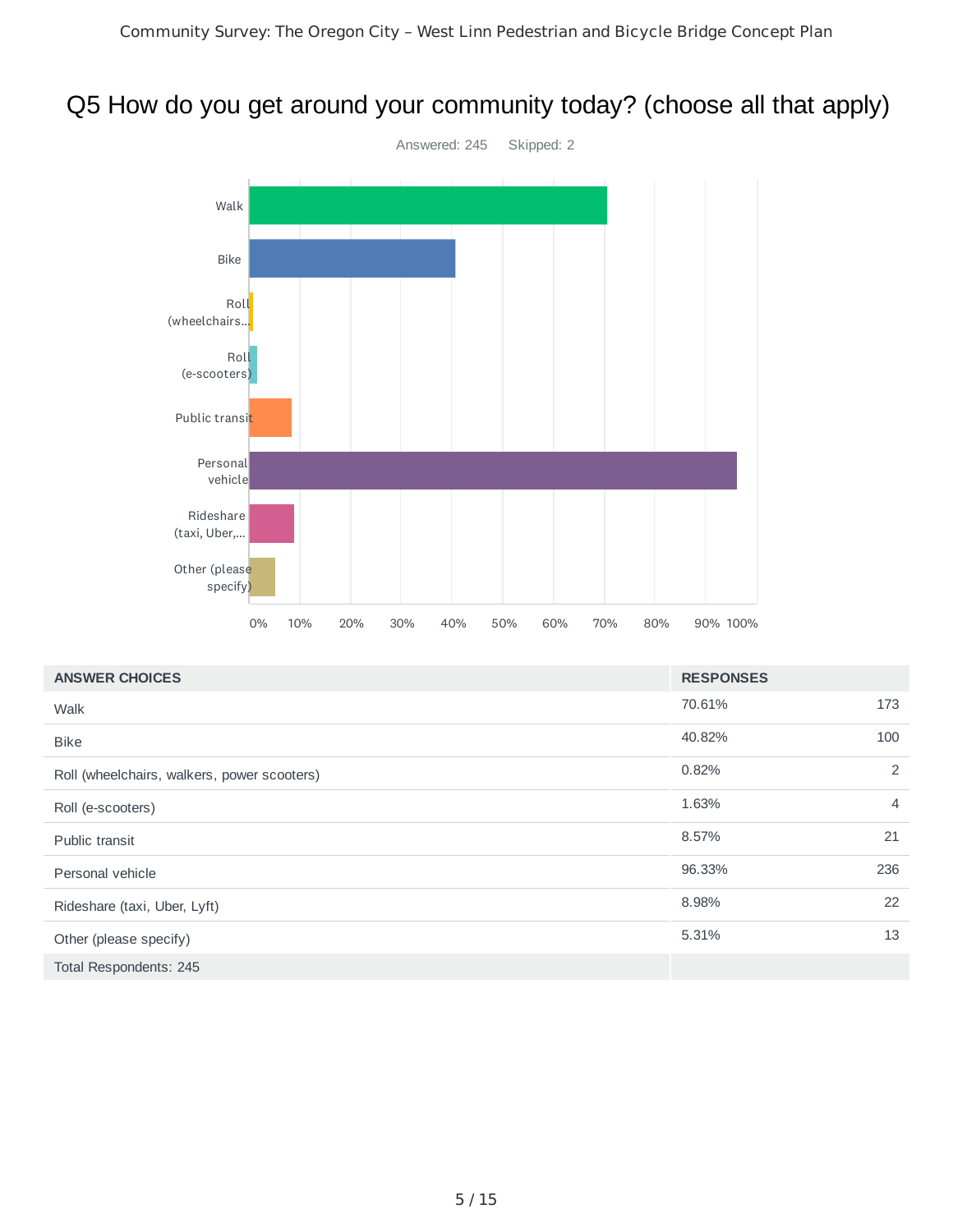## Q5 How do you get around your community today? (choose all that apply)



| <b>ANSWER CHOICES</b>                       | <b>RESPONSES</b> |                |
|---------------------------------------------|------------------|----------------|
| Walk                                        | 70.61%           | 173            |
| <b>Bike</b>                                 | 40.82%           | 100            |
| Roll (wheelchairs, walkers, power scooters) | 0.82%            | 2              |
| Roll (e-scooters)                           | 1.63%            | $\overline{4}$ |
| Public transit                              | 8.57%            | 21             |
| Personal vehicle                            | 96.33%           | 236            |
| Rideshare (taxi, Uber, Lyft)                | 8.98%            | 22             |
| Other (please specify)                      | 5.31%            | 13             |
| Total Respondents: 245                      |                  |                |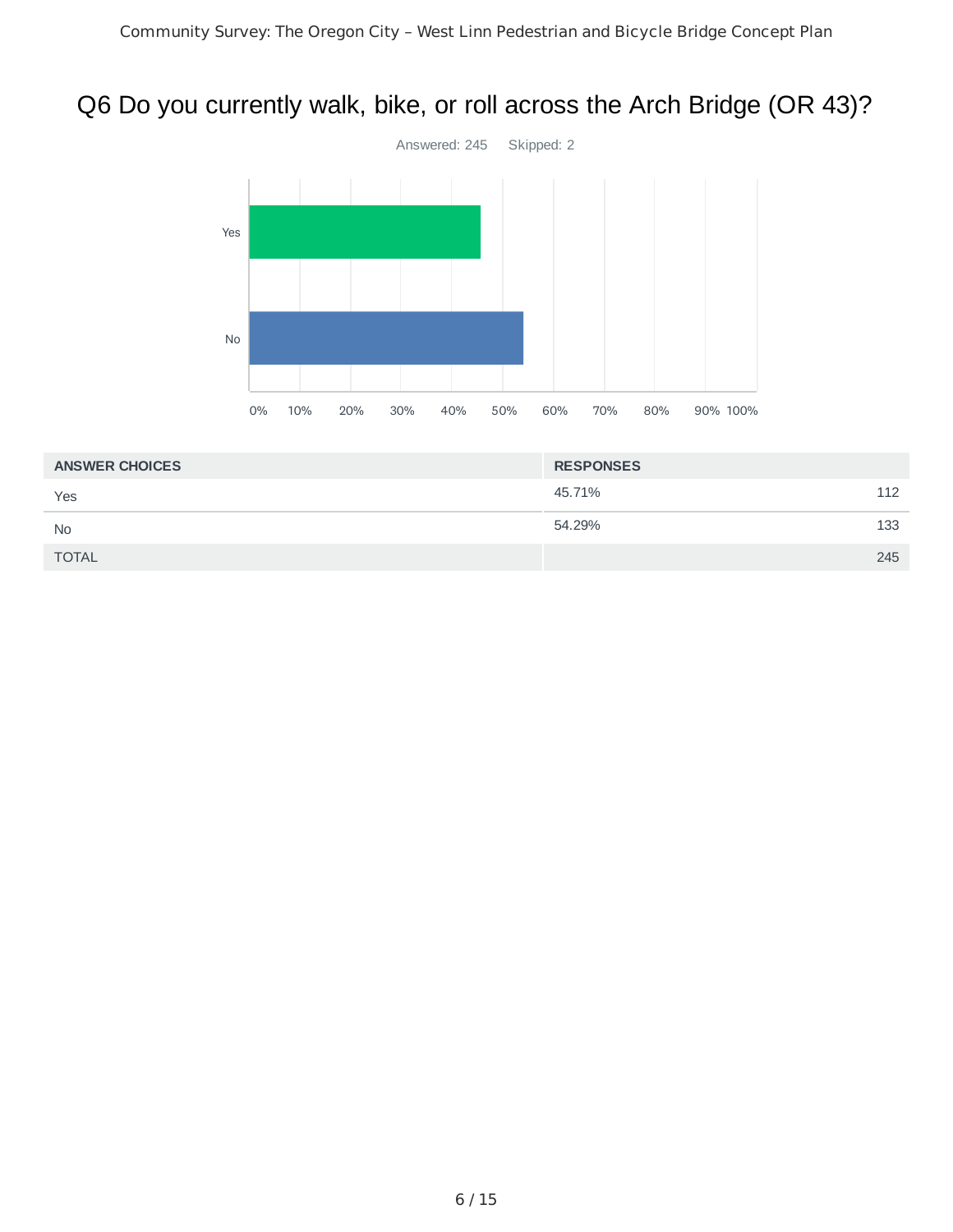## Q6 Do you currently walk, bike, or roll across the Arch Bridge (OR 43)?



| <b>RESPONSES</b> |
|------------------|
| 112              |
| 133              |
| 245              |
|                  |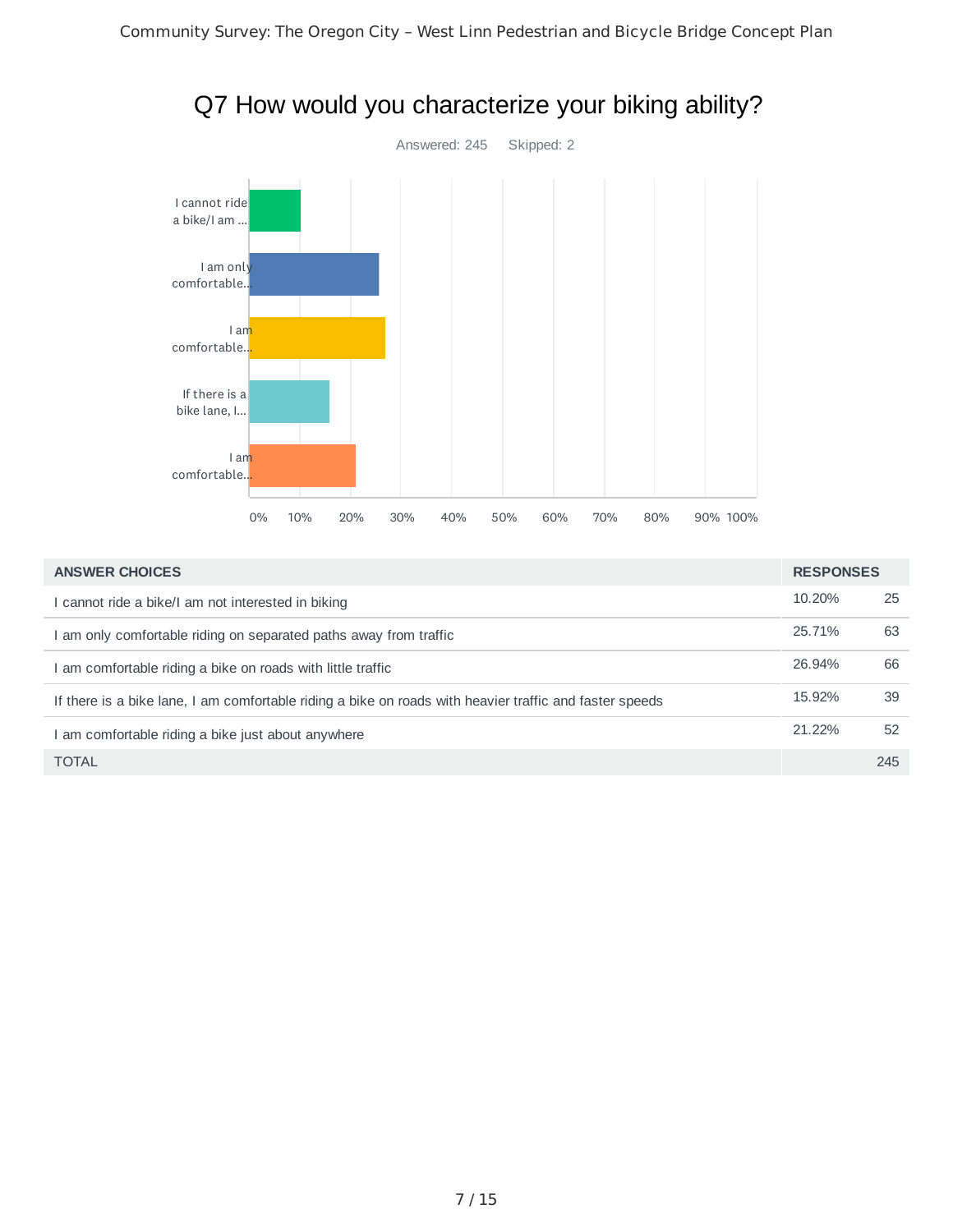

| Q7 How would you characterize your biking ability? |  |  |
|----------------------------------------------------|--|--|
|----------------------------------------------------|--|--|

| <b>ANSWER CHOICES</b>                                                                                   | <b>RESPONSES</b> |     |
|---------------------------------------------------------------------------------------------------------|------------------|-----|
| cannot ride a bike/I am not interested in biking                                                        | 10.20%           | 25  |
| am only comfortable riding on separated paths away from traffic                                         | 25.71%           | 63  |
| am comfortable riding a bike on roads with little traffic                                               | 26.94%           | 66  |
| If there is a bike lane, I am comfortable riding a bike on roads with heavier traffic and faster speeds | 15.92%           | 39  |
| am comfortable riding a bike just about anywhere                                                        | 21.22%           | 52  |
| <b>TOTAL</b>                                                                                            |                  | 245 |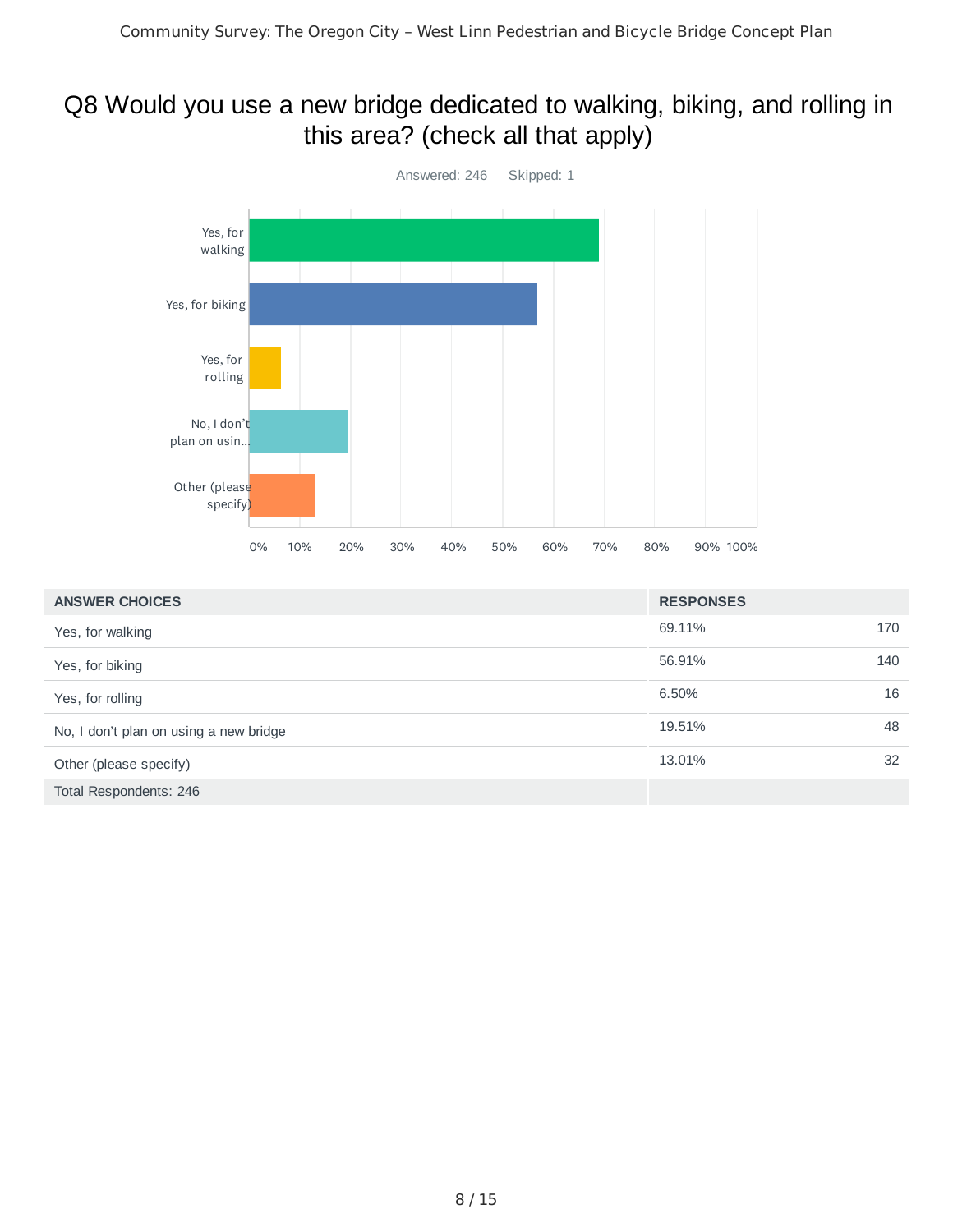## Q8 Would you use a new bridge dedicated to walking, biking, and rolling in this area? (check all that apply)



| <b>ANSWER CHOICES</b>                  | <b>RESPONSES</b> |     |
|----------------------------------------|------------------|-----|
| Yes, for walking                       | 69.11%           | 170 |
| Yes, for biking                        | 56.91%           | 140 |
| Yes, for rolling                       | 6.50%            | 16  |
| No, I don't plan on using a new bridge | 19.51%           | 48  |
| Other (please specify)                 | 13.01%           | 32  |
| Total Respondents: 246                 |                  |     |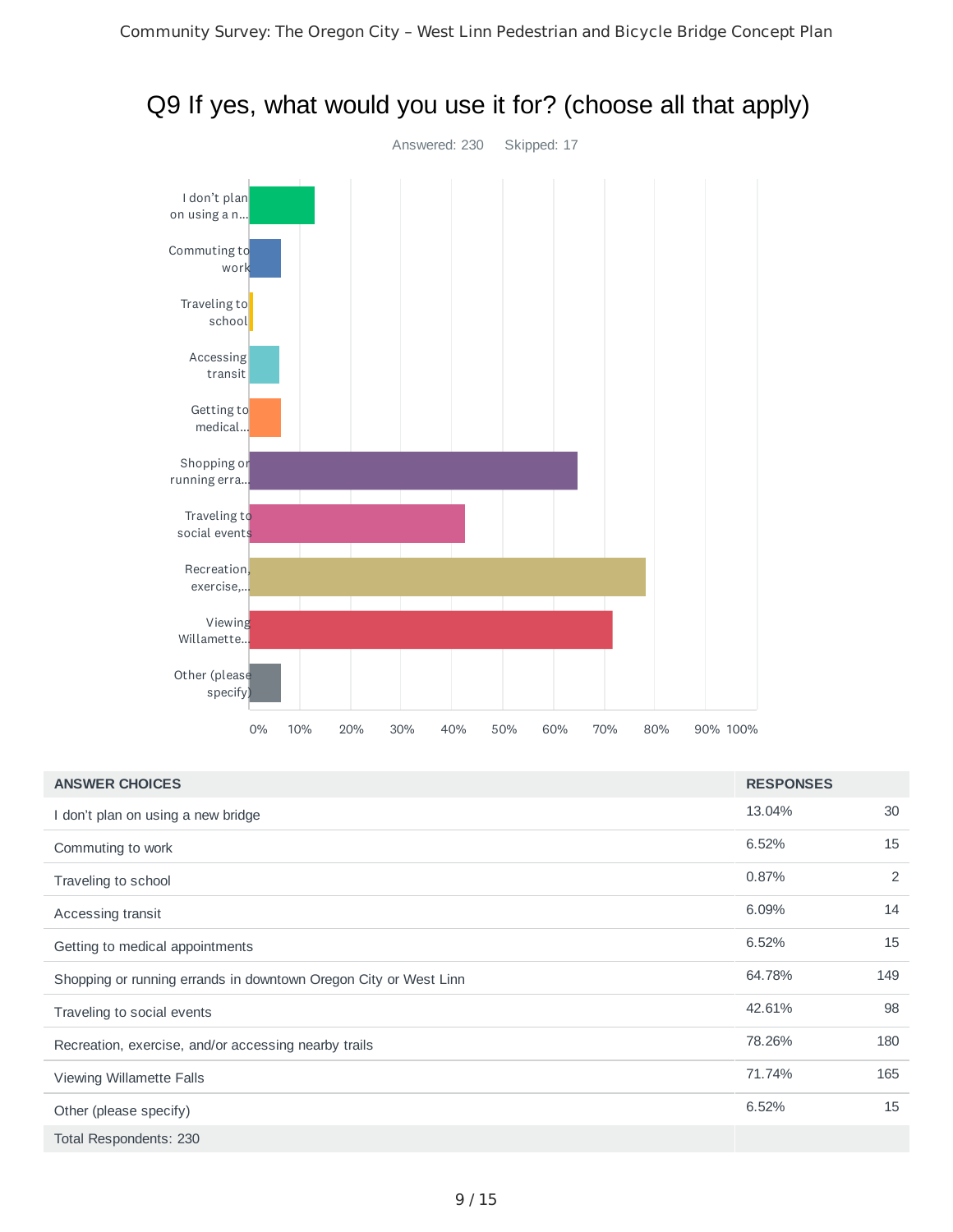

## Q9 If yes, what would you use it for? (choose all that apply)

| <b>ANSWER CHOICES</b>                                            | <b>RESPONSES</b> |     |
|------------------------------------------------------------------|------------------|-----|
| don't plan on using a new bridge                                 | 13.04%           | 30  |
| Commuting to work                                                | 6.52%            | 15  |
| Traveling to school                                              | 0.87%            | 2   |
| Accessing transit                                                | 6.09%            | 14  |
| Getting to medical appointments                                  | 6.52%            | 15  |
| Shopping or running errands in downtown Oregon City or West Linn | 64.78%           | 149 |
| Traveling to social events                                       | 42.61%           | 98  |
| Recreation, exercise, and/or accessing nearby trails             | 78.26%           | 180 |
| Viewing Willamette Falls                                         | 71.74%           | 165 |
| Other (please specify)                                           | 6.52%            | 15  |
| Total Respondents: 230                                           |                  |     |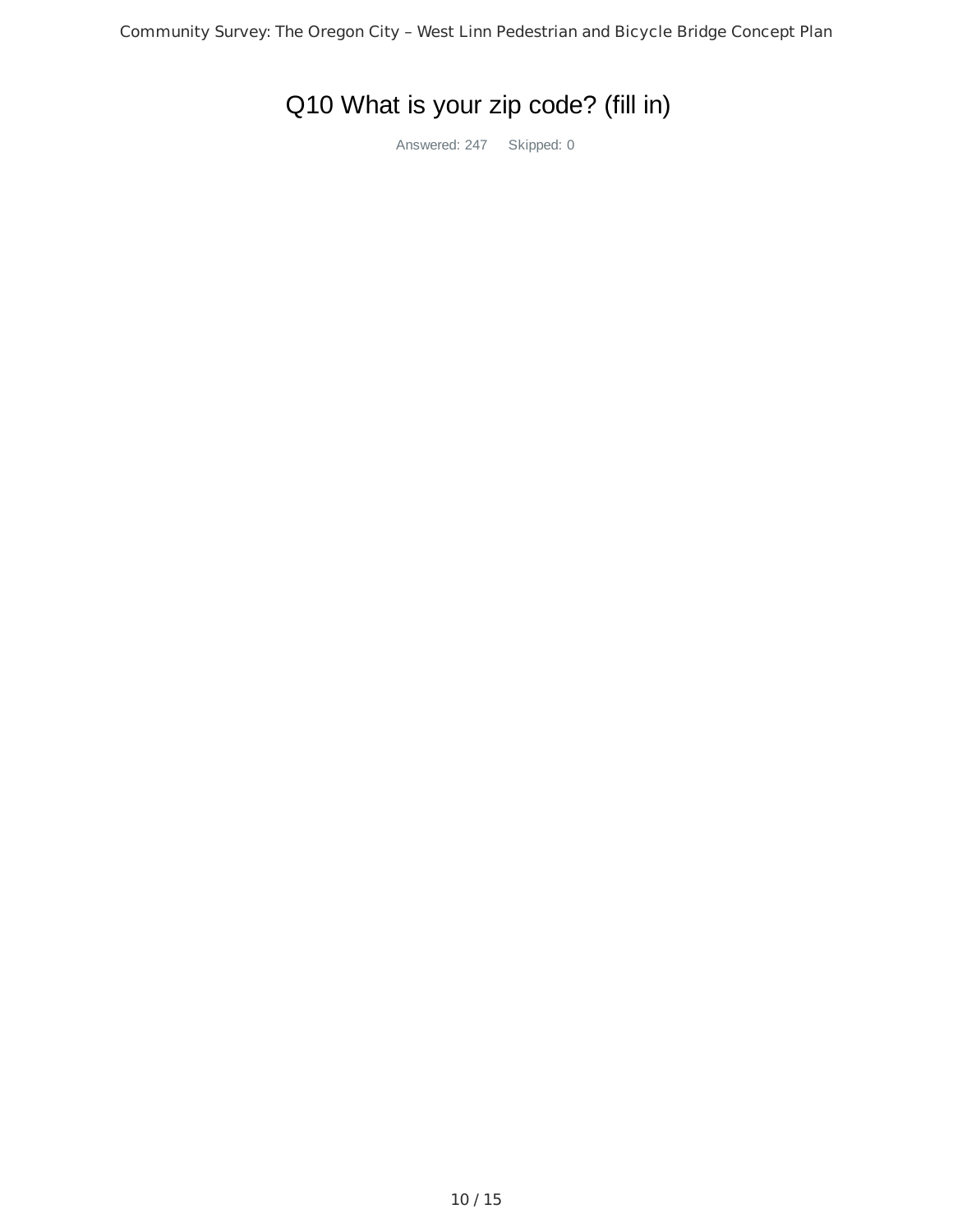# Q10 What is your zip code? (fill in)

Answered: 247 Skipped: 0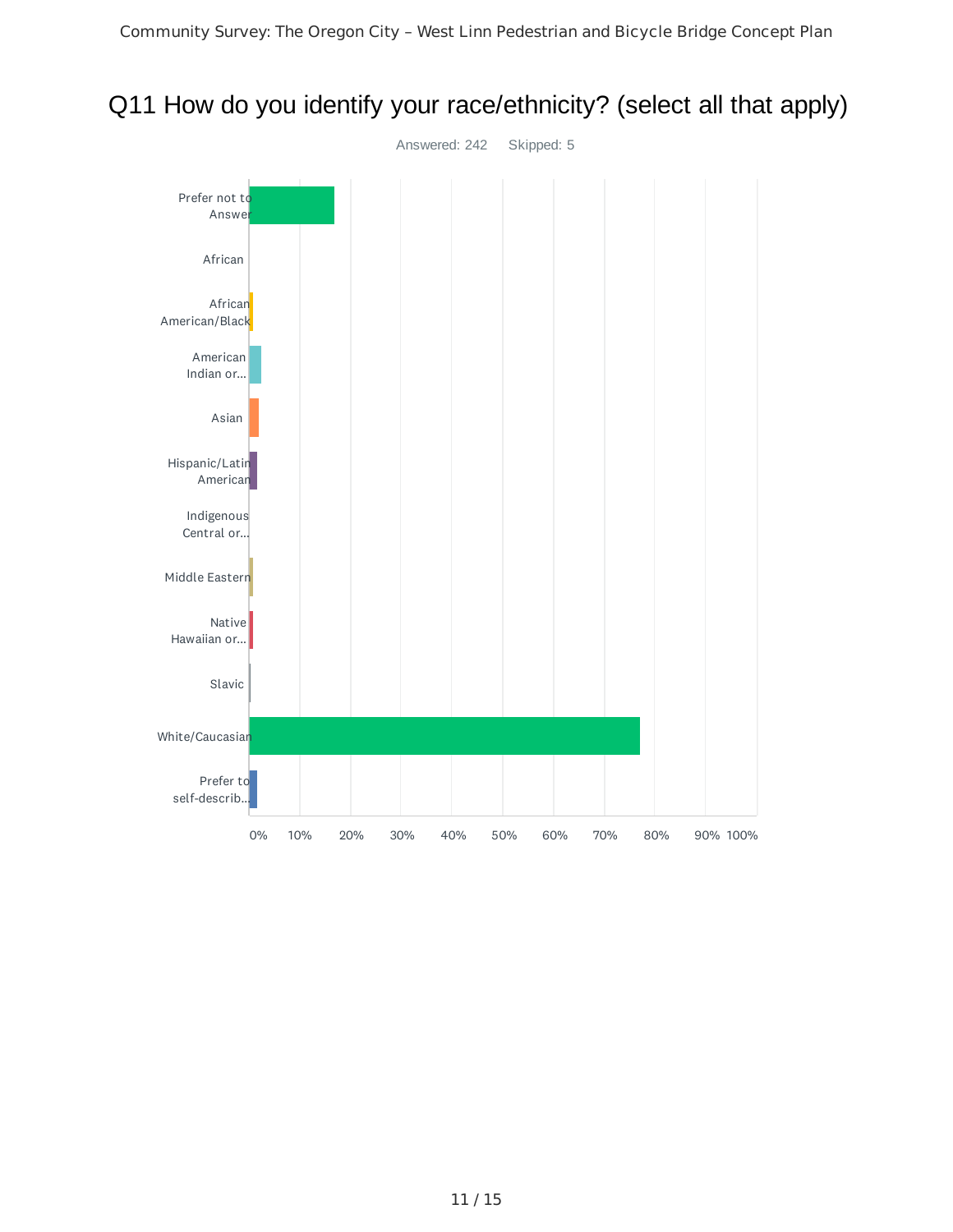

## Q11 How do you identify your race/ethnicity? (select all that apply)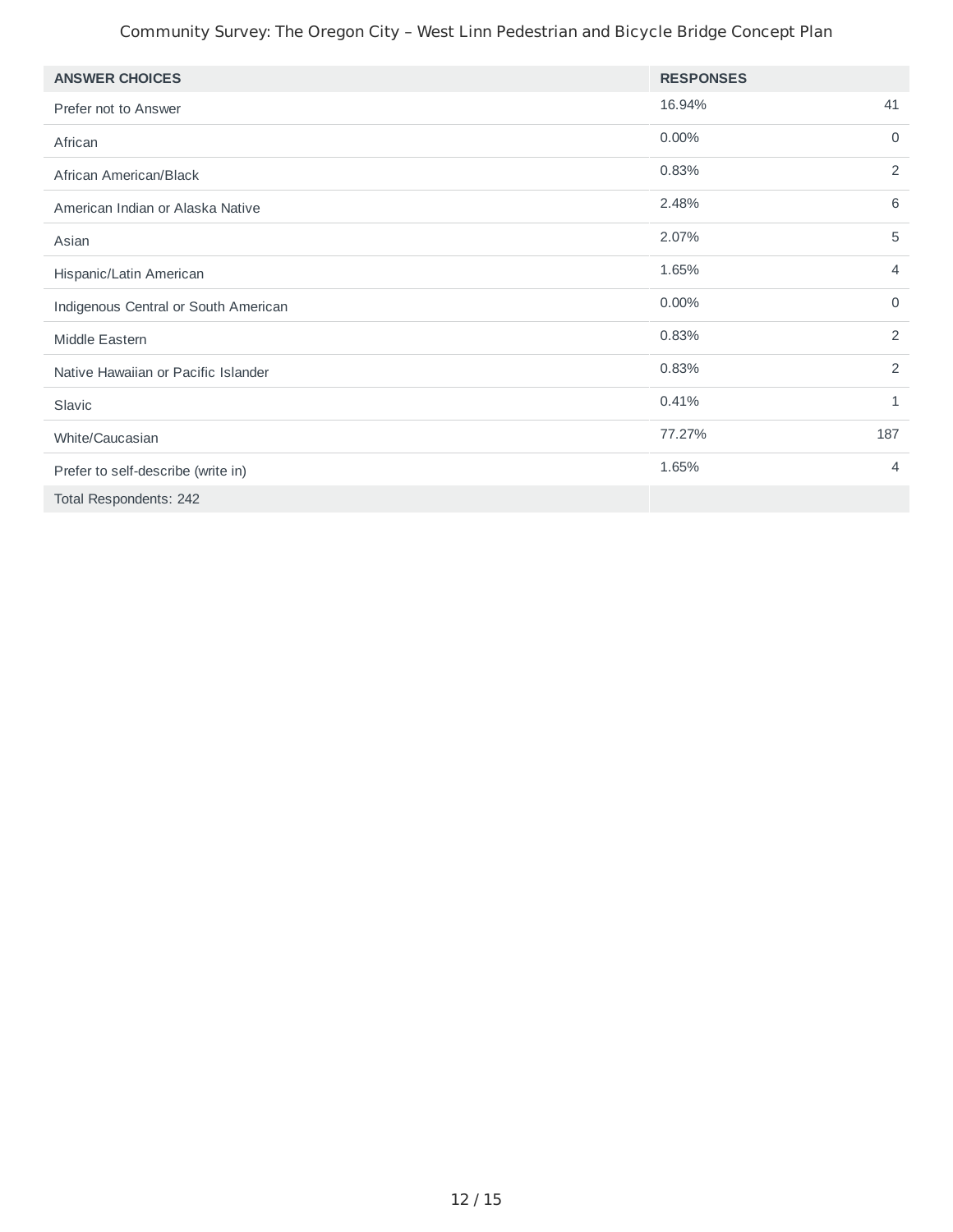#### Community Survey: The Oregon City – West Linn Pedestrian and Bicycle Bridge Concept Plan

| <b>ANSWER CHOICES</b>                | <b>RESPONSES</b> |                |
|--------------------------------------|------------------|----------------|
| Prefer not to Answer                 | 16.94%           | 41             |
| African                              | 0.00%            | $\mathbf 0$    |
| African American/Black               | 0.83%            | 2              |
| American Indian or Alaska Native     | 2.48%            | 6              |
| Asian                                | 2.07%            | 5              |
| Hispanic/Latin American              | 1.65%            | $\overline{4}$ |
| Indigenous Central or South American | 0.00%            | $\mathbf 0$    |
| Middle Eastern                       | 0.83%            | 2              |
| Native Hawaiian or Pacific Islander  | 0.83%            | 2              |
| Slavic                               | 0.41%            | $\mathbf{1}$   |
| White/Caucasian                      | 77.27%           | 187            |
| Prefer to self-describe (write in)   | 1.65%            | $\overline{4}$ |
| Total Respondents: 242               |                  |                |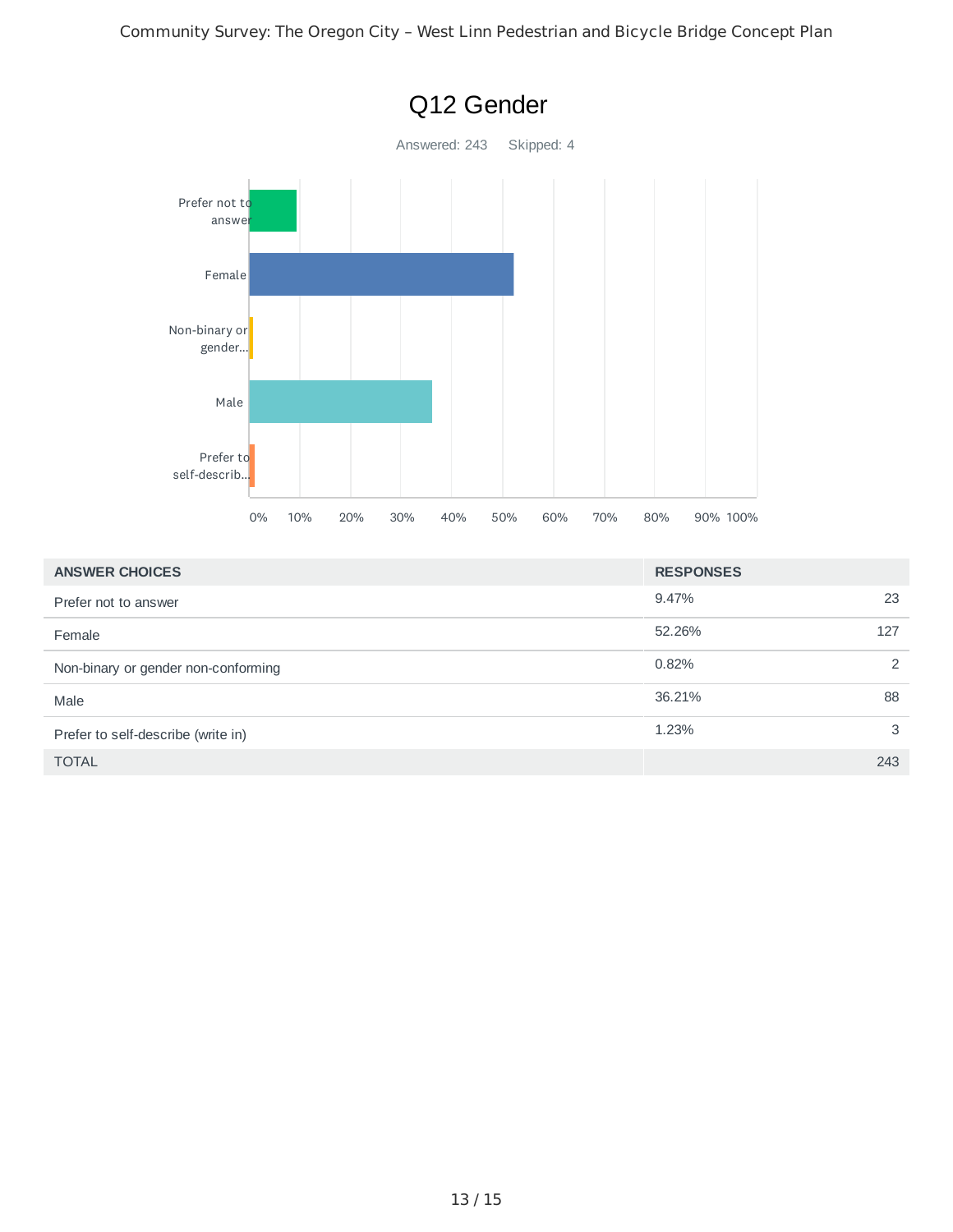

| <b>ANSWER CHOICES</b>               | <b>RESPONSES</b> |                |
|-------------------------------------|------------------|----------------|
| Prefer not to answer                | 9.47%            | 23             |
| Female                              | 52.26%           | 127            |
| Non-binary or gender non-conforming | 0.82%            | $\overline{2}$ |
| Male                                | 36.21%           | 88             |
| Prefer to self-describe (write in)  | 1.23%            | 3              |
| <b>TOTAL</b>                        |                  | 243            |

#### 13 / 15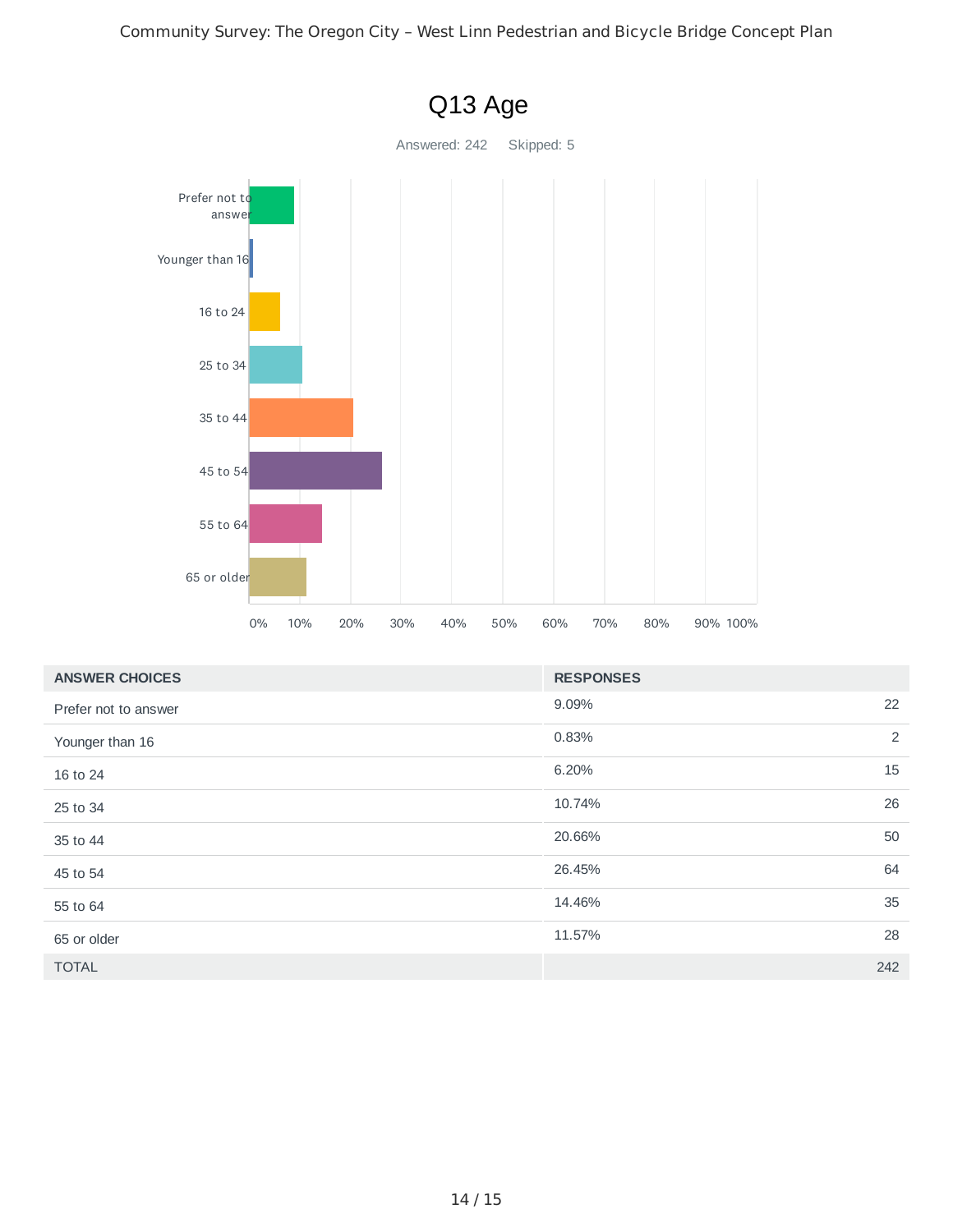

| <b>ANSWER CHOICES</b> | <b>RESPONSES</b> |
|-----------------------|------------------|
| Prefer not to answer  | 22<br>9.09%      |
| Younger than 16       | 2<br>0.83%       |
| 16 to 24              | 15<br>6.20%      |
| 25 to 34              | 26<br>10.74%     |
| 35 to 44              | 50<br>20.66%     |
| 45 to 54              | 64<br>26.45%     |
| 55 to 64              | 35<br>14.46%     |
| 65 or older           | 28<br>11.57%     |
| <b>TOTAL</b>          | 242              |